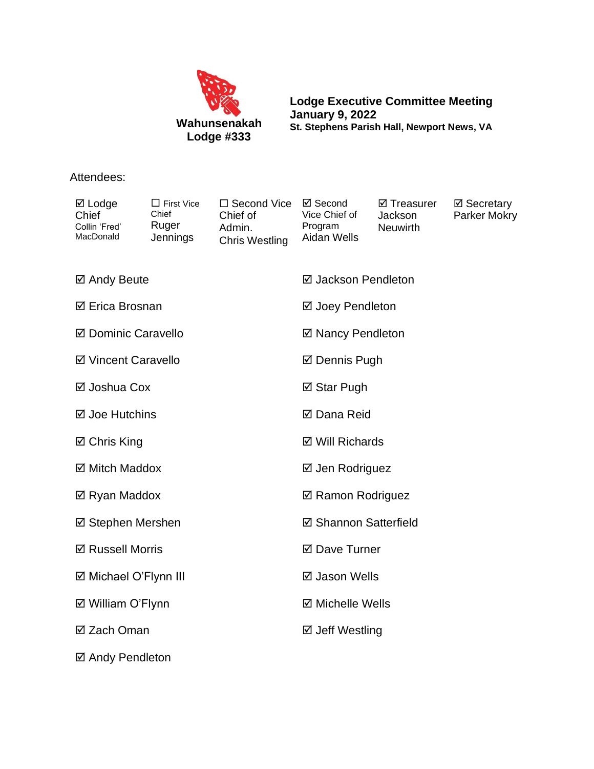

**Lodge Executive Committee Meeting January 9, 2022 St. Stephens Parish Hall, Newport News, VA**

## Attendees:

| $\boxtimes$ Lodge<br>Chief<br>Collin 'Fred'<br>MacDonald | $\Box$ First Vice<br>Chief<br>Ruger<br>Jennings | □ Second Vice<br>Chief of<br>Admin.<br><b>Chris Westling</b> | ☑ Second<br>Vice Chief of<br>Program<br>Aidan Wells | ☑ Treasurer<br>Jackson<br><b>Neuwirth</b> | ⊠ Secretary<br>Parker Mokry |
|----------------------------------------------------------|-------------------------------------------------|--------------------------------------------------------------|-----------------------------------------------------|-------------------------------------------|-----------------------------|
| ☑ Andy Beute                                             |                                                 |                                                              | ☑ Jackson Pendleton                                 |                                           |                             |
| ☑ Erica Brosnan                                          |                                                 |                                                              | ☑ Joey Pendleton                                    |                                           |                             |
| ☑ Dominic Caravello                                      |                                                 |                                                              | ☑ Nancy Pendleton                                   |                                           |                             |
| ☑ Vincent Caravello                                      |                                                 |                                                              | <b>Ø</b> Dennis Pugh                                |                                           |                             |
| ⊠ Joshua Cox                                             |                                                 |                                                              | ⊠ Star Pugh                                         |                                           |                             |
| ⊠ Joe Hutchins                                           |                                                 |                                                              | <b>Ø</b> Dana Reid                                  |                                           |                             |
| ☑ Chris King                                             |                                                 |                                                              | ☑ Will Richards                                     |                                           |                             |
| ☑ Mitch Maddox                                           |                                                 |                                                              | ⊠ Jen Rodriguez                                     |                                           |                             |
| ☑ Ryan Maddox                                            |                                                 |                                                              | ☑ Ramon Rodriguez                                   |                                           |                             |
| ☑ Stephen Mershen                                        |                                                 |                                                              | ☑ Shannon Satterfield                               |                                           |                             |
| <b>Ø Russell Morris</b>                                  |                                                 |                                                              | ☑ Dave Turner                                       |                                           |                             |
| ☑ Michael O'Flynn III                                    |                                                 |                                                              | ☑ Jason Wells                                       |                                           |                             |
| ☑ William O'Flynn                                        |                                                 |                                                              | <b>Ø</b> Michelle Wells                             |                                           |                             |
| ⊠ Zach Oman                                              |                                                 |                                                              | ☑ Jeff Westling                                     |                                           |                             |
| ☑ Andy Pendleton                                         |                                                 |                                                              |                                                     |                                           |                             |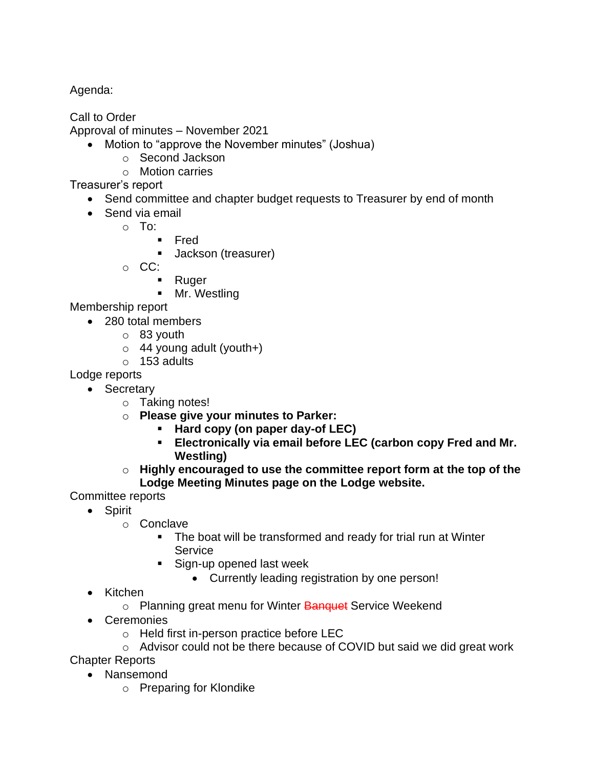Agenda:

Call to Order

Approval of minutes – November 2021

- Motion to "approve the November minutes" (Joshua)
	- o Second Jackson
	- o Motion carries

Treasurer's report

- Send committee and chapter budget requests to Treasurer by end of month
- Send via email
	- o To:
		- Fred
		- Jackson (treasurer)
	- o CC:
		- Ruger
		- **■** Mr. Westling

Membership report

- 280 total members
	- o 83 youth
	- $\circ$  44 young adult (youth+)
	- $\circ$  153 adults

Lodge reports

- Secretary
	- o Taking notes!
	- o **Please give your minutes to Parker:**
		- **Hard copy (on paper day-of LEC)**
		- **Electronically via email before LEC (carbon copy Fred and Mr. Westling)**
	- o **Highly encouraged to use the committee report form at the top of the Lodge Meeting Minutes page on the Lodge website.**

Committee reports

- Spirit
	- o Conclave
		- The boat will be transformed and ready for trial run at Winter **Service**
		- Sign-up opened last week
			- Currently leading registration by one person!
- Kitchen
	- o Planning great menu for Winter Banquet Service Weekend
- Ceremonies
	- o Held first in-person practice before LEC
- o Advisor could not be there because of COVID but said we did great work Chapter Reports
	- Nansemond
		- o Preparing for Klondike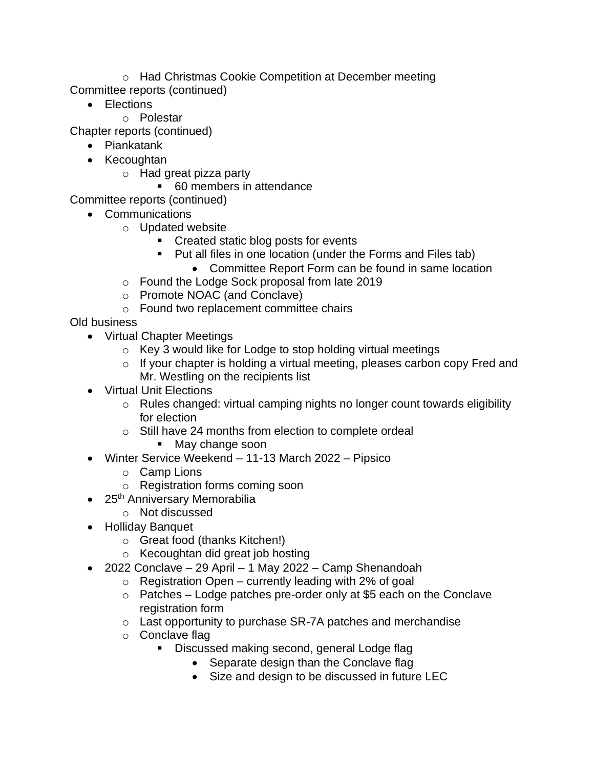o Had Christmas Cookie Competition at December meeting Committee reports (continued)

- Elections
	- o Polestar

Chapter reports (continued)

- Piankatank
- Kecoughtan
	- o Had great pizza party
		- 60 members in attendance

Committee reports (continued)

- Communications
	- o Updated website
		- Created static blog posts for events
		- Put all files in one location (under the Forms and Files tab)
			- Committee Report Form can be found in same location
	- o Found the Lodge Sock proposal from late 2019
	- o Promote NOAC (and Conclave)
	- o Found two replacement committee chairs

Old business

- Virtual Chapter Meetings
	- o Key 3 would like for Lodge to stop holding virtual meetings
	- o If your chapter is holding a virtual meeting, pleases carbon copy Fred and Mr. Westling on the recipients list
- Virtual Unit Elections
	- o Rules changed: virtual camping nights no longer count towards eligibility for election
	- o Still have 24 months from election to complete ordeal
		- May change soon
- Winter Service Weekend 11-13 March 2022 Pipsico
	- o Camp Lions
	- o Registration forms coming soon
- 25<sup>th</sup> Anniversary Memorabilia
	- o Not discussed
- Holliday Banquet
	- o Great food (thanks Kitchen!)
	- o Kecoughtan did great job hosting
- 2022 Conclave 29 April 1 May 2022 Camp Shenandoah
	- $\circ$  Registration Open currently leading with 2% of goal
	- o Patches Lodge patches pre-order only at \$5 each on the Conclave registration form
	- o Last opportunity to purchase SR-7A patches and merchandise
	- o Conclave flag
		- Discussed making second, general Lodge flag
			- Separate design than the Conclave flag
			- Size and design to be discussed in future LEC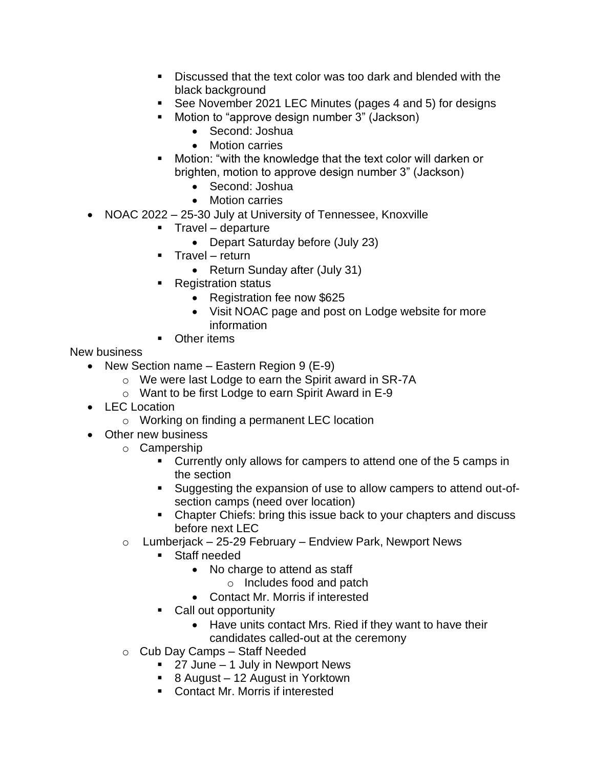- Discussed that the text color was too dark and blended with the black background
- See November 2021 LEC Minutes (pages 4 and 5) for designs
- Motion to "approve design number 3" (Jackson)
	- Second: Joshua
	- Motion carries
- Motion: "with the knowledge that the text color will darken or brighten, motion to approve design number 3" (Jackson)
	- Second: Joshua
	- Motion carries
- NOAC 2022 25-30 July at University of Tennessee, Knoxville
	- Travel departure
		- Depart Saturday before (July 23)
	- **•** Travel return
		- Return Sunday after (July 31)
	- **Registration status** 
		- Registration fee now \$625
		- Visit NOAC page and post on Lodge website for more information
	- Other items

New business

- New Section name Eastern Region 9 (E-9)
	- o We were last Lodge to earn the Spirit award in SR-7A
	- o Want to be first Lodge to earn Spirit Award in E-9
- LEC Location
	- o Working on finding a permanent LEC location
- Other new business
	- o Campership
		- Currently only allows for campers to attend one of the 5 camps in the section
		- Suggesting the expansion of use to allow campers to attend out-ofsection camps (need over location)
		- Chapter Chiefs: bring this issue back to your chapters and discuss before next LEC
	- $\circ$  Lumberjack 25-29 February Endview Park, Newport News
		- Staff needed
			- No charge to attend as staff
				- o Includes food and patch
			- Contact Mr. Morris if interested
		- Call out opportunity
			- Have units contact Mrs. Ried if they want to have their
			- candidates called-out at the ceremony
	- o Cub Day Camps Staff Needed
		- 27 June 1 July in Newport News
		- 8 August 12 August in Yorktown
		- Contact Mr. Morris if interested